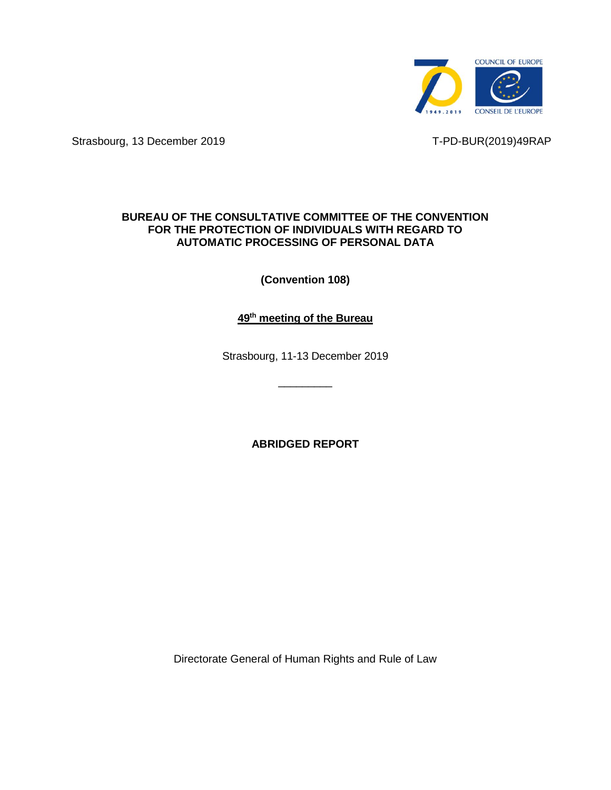

Strasbourg, 13 December 2019 T-PD-BUR(2019)49RAP

# **BUREAU OF THE CONSULTATIVE COMMITTEE OF THE CONVENTION FOR THE PROTECTION OF INDIVIDUALS WITH REGARD TO AUTOMATIC PROCESSING OF PERSONAL DATA**

**(Convention 108)**

**49 th meeting of the Bureau**

Strasbourg, 11-13 December 2019

 $\overline{\phantom{a}}$  , where  $\overline{\phantom{a}}$ 

**ABRIDGED REPORT**

Directorate General of Human Rights and Rule of Law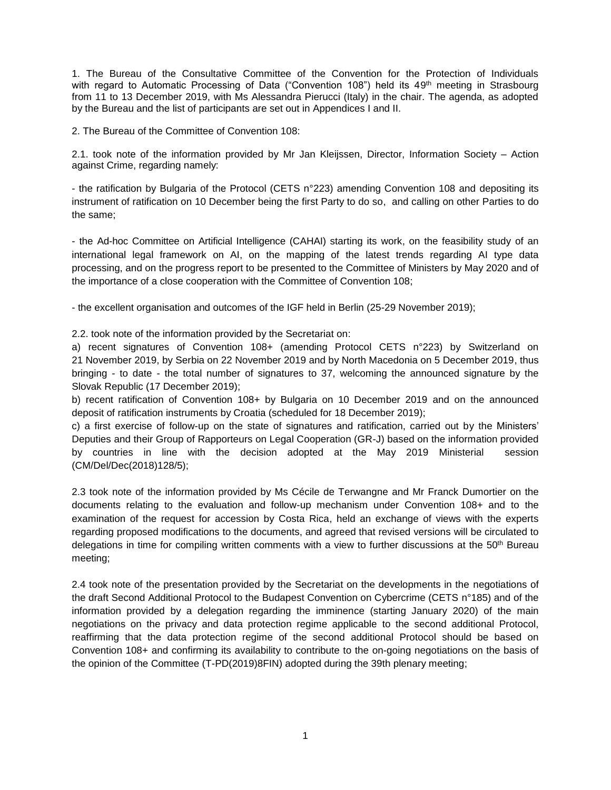1. The Bureau of the Consultative Committee of the Convention for the Protection of Individuals with regard to Automatic Processing of Data ("Convention 108") held its 49<sup>th</sup> meeting in Strasbourg from 11 to 13 December 2019, with Ms Alessandra Pierucci (Italy) in the chair. The agenda, as adopted by the Bureau and the list of participants are set out in Appendices I and II.

2. The Bureau of the Committee of Convention 108:

2.1. took note of the information provided by Mr Jan Kleijssen, Director, Information Society – Action against Crime, regarding namely:

- the ratification by Bulgaria of the Protocol (CETS n°223) amending Convention 108 and depositing its instrument of ratification on 10 December being the first Party to do so, and calling on other Parties to do the same;

- the Ad-hoc Committee on Artificial Intelligence (CAHAI) starting its work, on the feasibility study of an international legal framework on AI, on the mapping of the latest trends regarding AI type data processing, and on the progress report to be presented to the Committee of Ministers by May 2020 and of the importance of a close cooperation with the Committee of Convention 108;

- the excellent organisation and outcomes of the IGF held in Berlin (25-29 November 2019);

2.2. took note of the information provided by the Secretariat on:

a) recent signatures of Convention 108+ (amending Protocol CETS n°223) by Switzerland on 21 November 2019, by Serbia on 22 November 2019 and by North Macedonia on 5 December 2019, thus bringing - to date - the total number of signatures to 37, welcoming the announced signature by the Slovak Republic (17 December 2019);

b) recent ratification of Convention 108+ by Bulgaria on 10 December 2019 and on the announced deposit of ratification instruments by Croatia (scheduled for 18 December 2019);

c) a first exercise of follow-up on the state of signatures and ratification, carried out by the Ministers' Deputies and their Group of Rapporteurs on Legal Cooperation (GR-J) based on the information provided by countries in line with the decision adopted at the May 2019 Ministerial session (CM/Del/Dec(2018)128/5);

2.3 took note of the information provided by Ms Cécile de Terwangne and Mr Franck Dumortier on the documents relating to the evaluation and follow-up mechanism under Convention 108+ and to the examination of the request for accession by Costa Rica, held an exchange of views with the experts regarding proposed modifications to the documents, and agreed that revised versions will be circulated to delegations in time for compiling written comments with a view to further discussions at the  $50<sup>th</sup>$  Bureau meeting;

2.4 took note of the presentation provided by the Secretariat on the developments in the negotiations of the draft Second Additional Protocol to the Budapest Convention on Cybercrime (CETS n°185) and of the information provided by a delegation regarding the imminence (starting January 2020) of the main negotiations on the privacy and data protection regime applicable to the second additional Protocol, reaffirming that the data protection regime of the second additional Protocol should be based on Convention 108+ and confirming its availability to contribute to the on-going negotiations on the basis of the opinion of the Committee (T-PD(2019)8FIN) adopted during the 39th plenary meeting;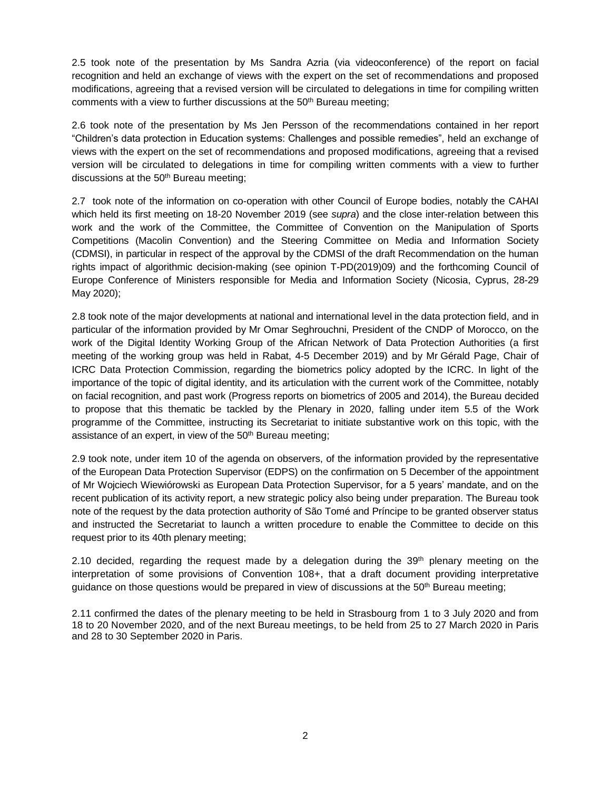2.5 took note of the presentation by Ms Sandra Azria (via videoconference) of the report on facial recognition and held an exchange of views with the expert on the set of recommendations and proposed modifications, agreeing that a revised version will be circulated to delegations in time for compiling written comments with a view to further discussions at the 50<sup>th</sup> Bureau meeting;

2.6 took note of the presentation by Ms Jen Persson of the recommendations contained in her report "Children's data protection in Education systems: Challenges and possible remedies", held an exchange of views with the expert on the set of recommendations and proposed modifications, agreeing that a revised version will be circulated to delegations in time for compiling written comments with a view to further discussions at the 50<sup>th</sup> Bureau meeting;

2.7 took note of the information on co-operation with other Council of Europe bodies, notably the CAHAI which held its first meeting on 18-20 November 2019 (see *supra*) and the close inter-relation between this work and the work of the Committee, the Committee of Convention on the Manipulation of Sports Competitions (Macolin Convention) and the Steering Committee on Media and Information Society (CDMSI), in particular in respect of the approval by the CDMSI of the draft Recommendation on the human rights impact of algorithmic decision-making (see opinion T-PD(2019)09) and the forthcoming Council of Europe Conference of Ministers responsible for Media and Information Society (Nicosia, Cyprus, 28-29 May 2020);

2.8 took note of the major developments at national and international level in the data protection field, and in particular of the information provided by Mr Omar Seghrouchni, President of the CNDP of Morocco, on the work of the Digital Identity Working Group of the African Network of Data Protection Authorities (a first meeting of the working group was held in Rabat, 4-5 December 2019) and by Mr Gérald Page, Chair of ICRC Data Protection Commission, regarding the biometrics policy adopted by the ICRC. In light of the importance of the topic of digital identity, and its articulation with the current work of the Committee, notably on facial recognition, and past work (Progress reports on biometrics of 2005 and 2014), the Bureau decided to propose that this thematic be tackled by the Plenary in 2020, falling under item 5.5 of the Work programme of the Committee, instructing its Secretariat to initiate substantive work on this topic, with the assistance of an expert, in view of the 50<sup>th</sup> Bureau meeting;

2.9 took note, under item 10 of the agenda on observers, of the information provided by the representative of the European Data Protection Supervisor (EDPS) on the confirmation on 5 December of the appointment of Mr Wojciech Wiewiórowski as European Data Protection Supervisor, for a 5 years' mandate, and on the recent publication of its activity report, a new strategic policy also being under preparation. The Bureau took note of the request by the data protection authority of São Tomé and Príncipe to be granted observer status and instructed the Secretariat to launch a written procedure to enable the Committee to decide on this request prior to its 40th plenary meeting;

2.10 decided, regarding the request made by a delegation during the  $39<sup>th</sup>$  plenary meeting on the interpretation of some provisions of Convention 108+, that a draft document providing interpretative guidance on those questions would be prepared in view of discussions at the 50<sup>th</sup> Bureau meeting;

2.11 confirmed the dates of the plenary meeting to be held in Strasbourg from 1 to 3 July 2020 and from 18 to 20 November 2020, and of the next Bureau meetings, to be held from 25 to 27 March 2020 in Paris and 28 to 30 September 2020 in Paris.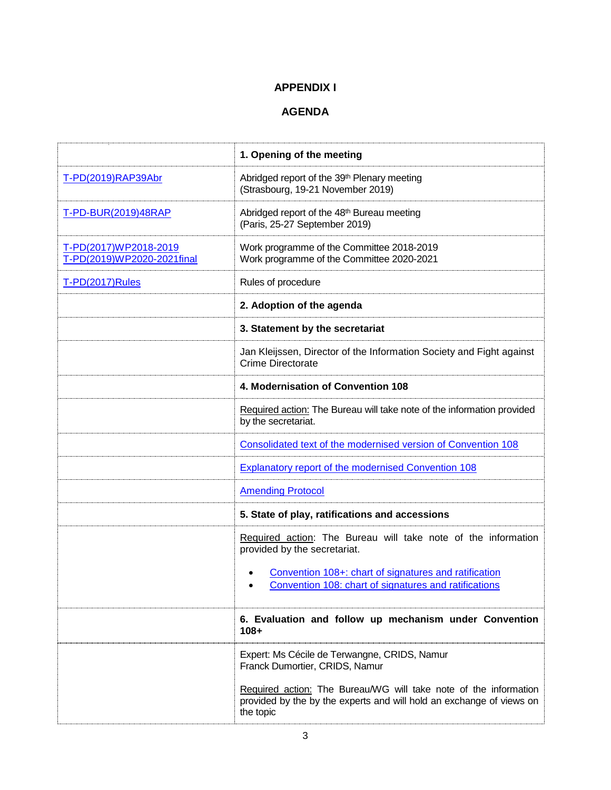# **APPENDIX I**

# **AGENDA**

|                                                     | 1. Opening of the meeting                                                                                                                             |
|-----------------------------------------------------|-------------------------------------------------------------------------------------------------------------------------------------------------------|
| T-PD(2019)RAP39Abr                                  | Abridged report of the 39 <sup>th</sup> Plenary meeting<br>(Strasbourg, 19-21 November 2019)                                                          |
| T-PD-BUR(2019)48RAP                                 | Abridged report of the 48 <sup>th</sup> Bureau meeting<br>(Paris, 25-27 September 2019)                                                               |
| T-PD(2017)WP2018-2019<br>T-PD(2019)WP2020-2021final | Work programme of the Committee 2018-2019<br>Work programme of the Committee 2020-2021                                                                |
| T-PD(2017)Rules                                     | Rules of procedure                                                                                                                                    |
|                                                     | 2. Adoption of the agenda                                                                                                                             |
|                                                     | 3. Statement by the secretariat                                                                                                                       |
|                                                     | Jan Kleijssen, Director of the Information Society and Fight against<br><b>Crime Directorate</b>                                                      |
|                                                     | 4. Modernisation of Convention 108                                                                                                                    |
|                                                     | Required action: The Bureau will take note of the information provided<br>by the secretariat.                                                         |
|                                                     | Consolidated text of the modernised version of Convention 108                                                                                         |
|                                                     | Explanatory report of the modernised Convention 108                                                                                                   |
|                                                     | <b>Amending Protocol</b>                                                                                                                              |
|                                                     | 5. State of play, ratifications and accessions                                                                                                        |
|                                                     | Required action: The Bureau will take note of the information<br>provided by the secretariat.                                                         |
|                                                     | Convention 108+: chart of signatures and ratification<br>Convention 108: chart of signatures and ratifications<br>$\bullet$                           |
|                                                     | 6. Evaluation and follow up mechanism under Convention<br>$108 +$                                                                                     |
|                                                     | Expert: Ms Cécile de Terwangne, CRIDS, Namur<br>Franck Dumortier, CRIDS, Namur                                                                        |
|                                                     | Required action: The Bureau/WG will take note of the information<br>provided by the by the experts and will hold an exchange of views on<br>the topic |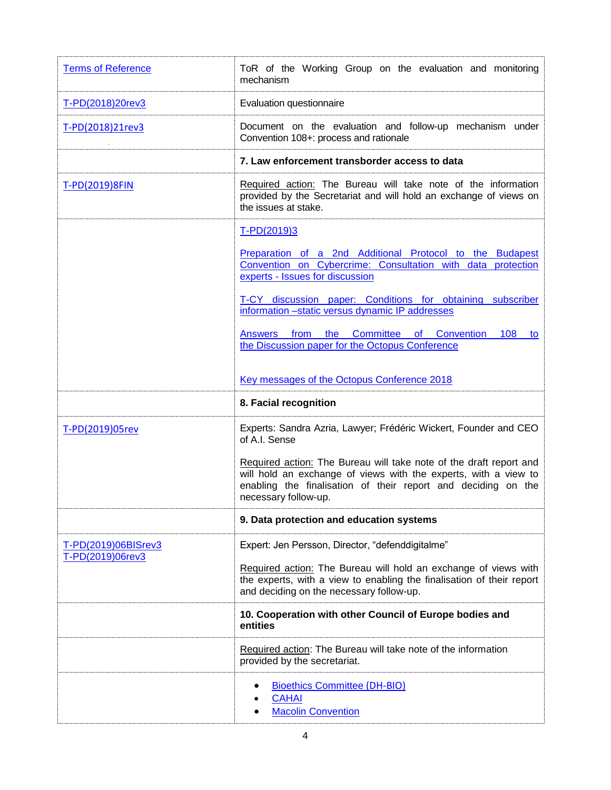| <b>Terms of Reference</b> | ToR of the Working Group on the evaluation and monitoring<br>mechanism                                                                                                                                                         |
|---------------------------|--------------------------------------------------------------------------------------------------------------------------------------------------------------------------------------------------------------------------------|
| T-PD(2018)20rev3          | Evaluation questionnaire                                                                                                                                                                                                       |
| T-PD(2018)21rev3          | Document on the evaluation and follow-up mechanism under<br>Convention 108+: process and rationale                                                                                                                             |
|                           | 7. Law enforcement transborder access to data                                                                                                                                                                                  |
| T-PD(2019)8FIN            | Required action: The Bureau will take note of the information<br>provided by the Secretariat and will hold an exchange of views on<br>the issues at stake.                                                                     |
|                           | T-PD(2019)3                                                                                                                                                                                                                    |
|                           | Preparation of a 2nd Additional Protocol to the Budapest<br>Convention on Cybercrime: Consultation with data protection<br>experts - Issues for discussion                                                                     |
|                           | T-CY discussion paper: Conditions for obtaining subscriber<br>information -static versus dynamic IP addresses                                                                                                                  |
|                           | 108 to<br>Answers from the Committee of Convention<br>the Discussion paper for the Octopus Conference                                                                                                                          |
|                           | Key messages of the Octopus Conference 2018                                                                                                                                                                                    |
|                           |                                                                                                                                                                                                                                |
|                           | 8. Facial recognition                                                                                                                                                                                                          |
| T-PD(2019)05rev           | Experts: Sandra Azria, Lawyer; Frédéric Wickert, Founder and CEO<br>of A.I. Sense                                                                                                                                              |
|                           | Required action: The Bureau will take note of the draft report and<br>will hold an exchange of views with the experts, with a view to<br>enabling the finalisation of their report and deciding on the<br>necessary follow-up. |
|                           | 9. Data protection and education systems                                                                                                                                                                                       |
| T-PD(2019)06BISrev3       | Expert: Jen Persson, Director, "defenddigitalme"                                                                                                                                                                               |
| T-PD(2019)06rev3          | Required action: The Bureau will hold an exchange of views with<br>the experts, with a view to enabling the finalisation of their report<br>and deciding on the necessary follow-up.                                           |
|                           | 10. Cooperation with other Council of Europe bodies and<br>entities                                                                                                                                                            |
|                           | Required action: The Bureau will take note of the information<br>provided by the secretariat.                                                                                                                                  |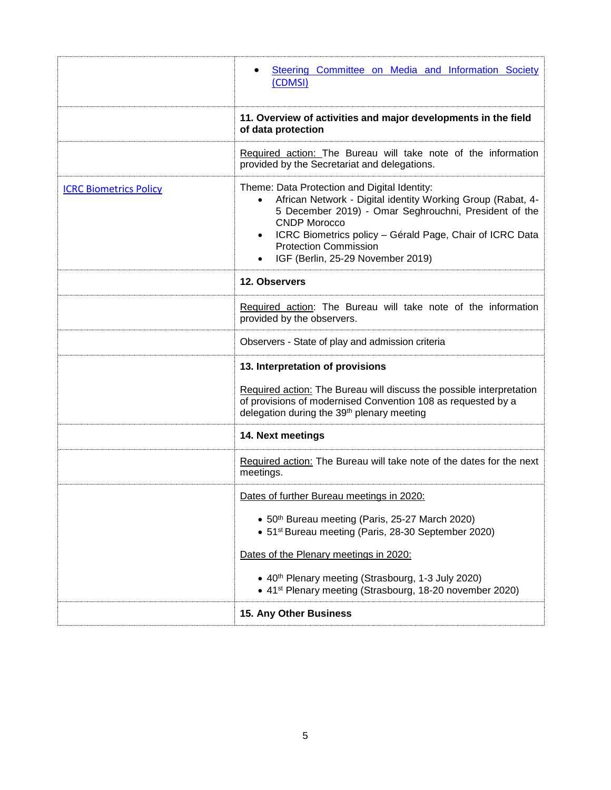|                               | Steering Committee on Media and Information Society<br>(CDMSI)                                                                                                                                                                                                                                                                                         |
|-------------------------------|--------------------------------------------------------------------------------------------------------------------------------------------------------------------------------------------------------------------------------------------------------------------------------------------------------------------------------------------------------|
|                               | 11. Overview of activities and major developments in the field<br>of data protection                                                                                                                                                                                                                                                                   |
|                               | Required action: The Bureau will take note of the information<br>provided by the Secretariat and delegations.                                                                                                                                                                                                                                          |
| <b>ICRC Biometrics Policy</b> | Theme: Data Protection and Digital Identity:<br>African Network - Digital identity Working Group (Rabat, 4-<br>5 December 2019) - Omar Seghrouchni, President of the<br><b>CNDP Morocco</b><br>ICRC Biometrics policy - Gérald Page, Chair of ICRC Data<br>$\bullet$<br><b>Protection Commission</b><br>IGF (Berlin, 25-29 November 2019)<br>$\bullet$ |
|                               | 12. Observers                                                                                                                                                                                                                                                                                                                                          |
|                               | Required action: The Bureau will take note of the information<br>provided by the observers.                                                                                                                                                                                                                                                            |
|                               | Observers - State of play and admission criteria                                                                                                                                                                                                                                                                                                       |
|                               | 13. Interpretation of provisions                                                                                                                                                                                                                                                                                                                       |
|                               | Required action: The Bureau will discuss the possible interpretation<br>of provisions of modernised Convention 108 as requested by a<br>delegation during the 39th plenary meeting                                                                                                                                                                     |
|                               | 14. Next meetings                                                                                                                                                                                                                                                                                                                                      |
|                               | Required action: The Bureau will take note of the dates for the next<br>meetings.                                                                                                                                                                                                                                                                      |
|                               | Dates of further Bureau meetings in 2020:                                                                                                                                                                                                                                                                                                              |
|                               | • 50th Bureau meeting (Paris, 25-27 March 2020)<br>• 51 <sup>st</sup> Bureau meeting (Paris, 28-30 September 2020)                                                                                                                                                                                                                                     |
|                               | Dates of the Plenary meetings in 2020:                                                                                                                                                                                                                                                                                                                 |
|                               | • 40 <sup>th</sup> Plenary meeting (Strasbourg, 1-3 July 2020)<br>• 41 <sup>st</sup> Plenary meeting (Strasbourg, 18-20 november 2020)                                                                                                                                                                                                                 |
|                               | 15. Any Other Business                                                                                                                                                                                                                                                                                                                                 |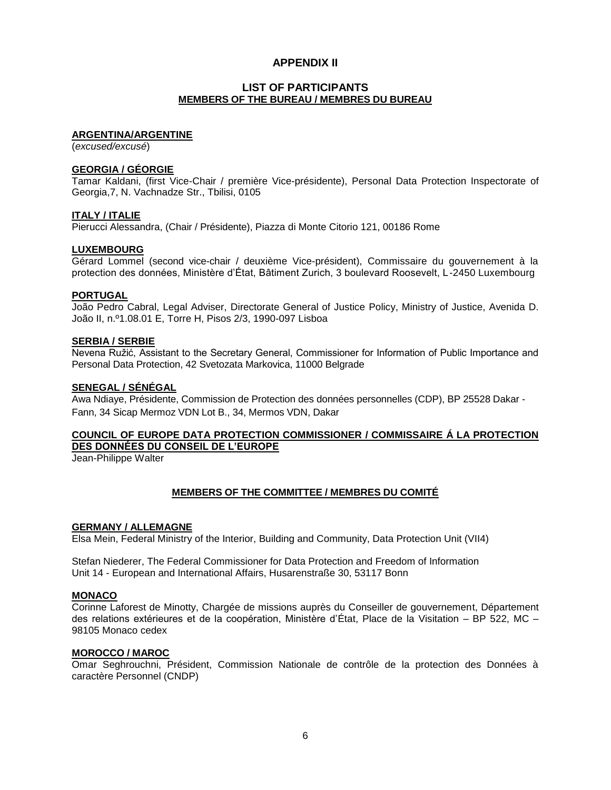# **APPENDIX II**

## **LIST OF PARTICIPANTS MEMBERS OF THE BUREAU / MEMBRES DU BUREAU**

#### **ARGENTINA/ARGENTINE**

(*excused/excusé*)

## **GEORGIA / GÉORGIE**

Tamar Kaldani, (first Vice-Chair / première Vice-présidente), Personal Data Protection Inspectorate of Georgia,7, N. Vachnadze Str., Tbilisi, 0105

#### **ITALY / ITALIE**

Pierucci Alessandra, (Chair / Présidente), Piazza di Monte Citorio 121, 00186 Rome

#### **LUXEMBOURG**

Gérard Lommel (second vice-chair / deuxième Vice-président), Commissaire du gouvernement à la protection des données, Ministère d'État, Bâtiment Zurich, 3 boulevard Roosevelt, L-2450 Luxembourg

#### **PORTUGAL**

João Pedro Cabral, Legal Adviser, Directorate General of Justice Policy, Ministry of Justice, Avenida D. João II, n.º1.08.01 E, Torre H, Pisos 2/3, 1990-097 Lisboa

#### **SERBIA / SERBIE**

Nevena Ružić, Assistant to the Secretary General, Commissioner for Information of Public Importance and Personal Data Protection, 42 Svetozata Markovica, 11000 Belgrade

## **SENEGAL / SÉNÉGAL**

Awa Ndiaye, Présidente, Commission de Protection des données personnelles (CDP), BP 25528 Dakar - Fann, 34 Sicap Mermoz VDN Lot B., 34, Mermos VDN, Dakar

# **COUNCIL OF EUROPE DATA PROTECTION COMMISSIONER / COMMISSAIRE Á LA PROTECTION DES DONNÉES DU CONSEIL DE L'EUROPE**

Jean-Philippe Walter

## **MEMBERS OF THE COMMITTEE / MEMBRES DU COMITÉ**

#### **GERMANY / ALLEMAGNE**

Elsa Mein, Federal Ministry of the Interior, Building and Community, Data Protection Unit (VII4)

Stefan Niederer, The Federal Commissioner for Data Protection and Freedom of Information Unit 14 - European and International Affairs, Husarenstraße 30, 53117 Bonn

#### **MONACO**

Corinne Laforest de Minotty, Chargée de missions auprès du Conseiller de gouvernement, Département des relations extérieures et de la coopération, Ministère d'État, Place de la Visitation – BP 522, MC – 98105 Monaco cedex

#### **MOROCCO / MAROC**

Omar Seghrouchni, Président, Commission Nationale de contrôle de la protection des Données à caractère Personnel (CNDP)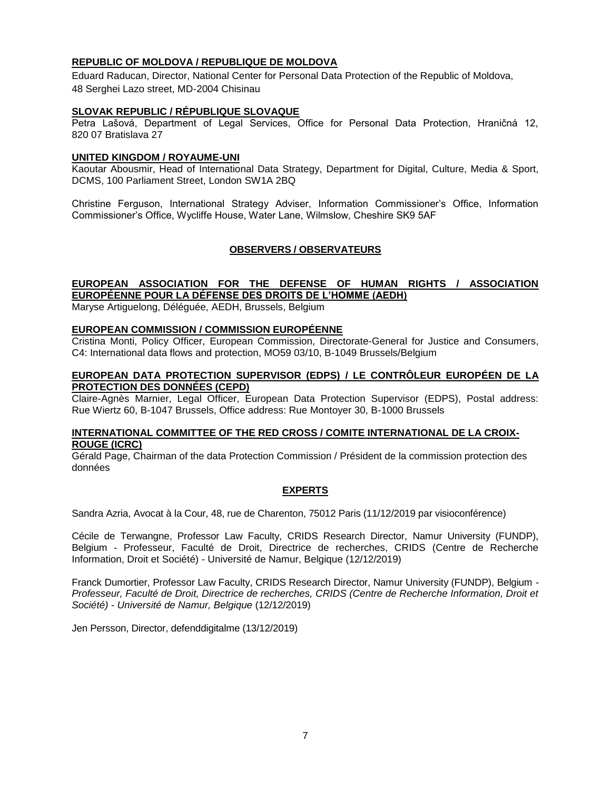# **REPUBLIC OF MOLDOVA / REPUBLIQUE DE MOLDOVA**

Eduard Raducan, Director, National Center for Personal Data Protection of the Republic of Moldova, 48 Serghei Lazo street, MD-2004 Chisinau

## **SLOVAK REPUBLIC / RÉPUBLIQUE SLOVAQUE**

Petra Lašová, Department of Legal Services, Office for Personal Data Protection, Hraničná 12, 820 07 Bratislava 27

## **UNITED KINGDOM / ROYAUME-UNI**

Kaoutar Abousmir, Head of International Data Strategy, Department for Digital, Culture, Media & Sport, DCMS, 100 Parliament Street, London SW1A 2BQ

Christine Ferguson, International Strategy Adviser, Information Commissioner's Office, Information Commissioner's Office, Wycliffe House, Water Lane, Wilmslow, Cheshire SK9 5AF

## **OBSERVERS / OBSERVATEURS**

# **EUROPEAN ASSOCIATION FOR THE DEFENSE OF HUMAN RIGHTS / ASSOCIATION EUROPÉENNE POUR LA DÉFENSE DES DROITS DE L'HOMME (AEDH)**

Maryse Artiguelong, Déléguée, AEDH, Brussels, Belgium

## **EUROPEAN COMMISSION / COMMISSION EUROPÉENNE**

Cristina Monti, Policy Officer, European Commission, Directorate-General for Justice and Consumers, C4: International data flows and protection, MO59 03/10, B-1049 Brussels/Belgium

## **EUROPEAN DATA PROTECTION SUPERVISOR (EDPS) / LE CONTRÔLEUR EUROPÉEN DE LA PROTECTION DES DONNÉES (CEPD)**

Claire-Agnès Marnier, Legal Officer, European Data Protection Supervisor (EDPS), Postal address: Rue Wiertz 60, B-1047 Brussels, Office address: Rue Montoyer 30, B-1000 Brussels

## **INTERNATIONAL COMMITTEE OF THE RED CROSS / COMITE INTERNATIONAL DE LA CROIX-ROUGE (ICRC)**

Gérald Page, Chairman of the data Protection Commission / Président de la commission protection des données

## **EXPERTS**

Sandra Azria, Avocat à la Cour, 48, rue de Charenton, 75012 Paris (11/12/2019 par visioconférence)

Cécile de Terwangne, Professor Law Faculty, CRIDS Research Director, Namur University (FUNDP), Belgium - Professeur, Faculté de Droit, Directrice de recherches, CRIDS (Centre de Recherche Information, Droit et Société) - Université de Namur, Belgique (12/12/2019)

Franck Dumortier, Professor Law Faculty, CRIDS Research Director, Namur University (FUNDP), Belgium - *Professeur, Faculté de Droit, Directrice de recherches, CRIDS (Centre de Recherche Information, Droit et Société) - Université de Namur, Belgique* (12/12/2019)

Jen Persson, Director, defenddigitalme (13/12/2019)